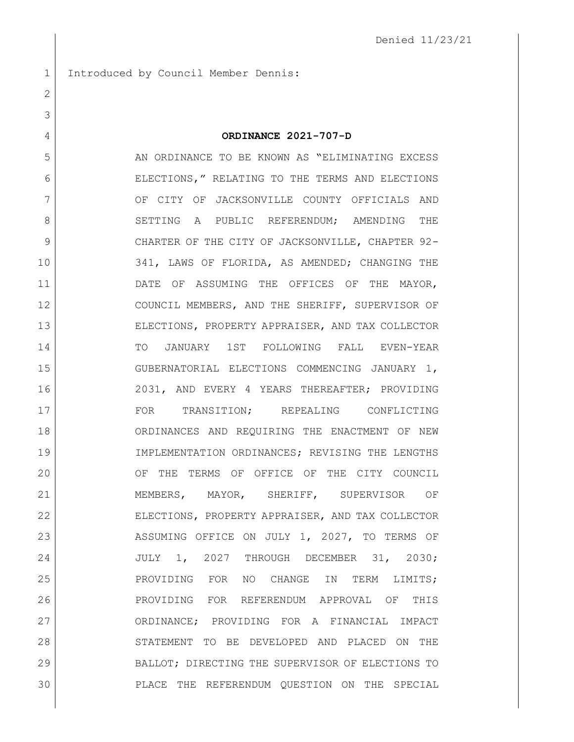Introduced by Council Member Dennis:

 **ORDINANCE 2021-707-D** 5 AN ORDINANCE TO BE KNOWN AS "ELIMINATING EXCESS" ELECTIONS," RELATING TO THE TERMS AND ELECTIONS 7 OF CITY OF JACKSONVILLE COUNTY OFFICIALS AND 8 SETTING A PUBLIC REFERENDUM; AMENDING THE 9 CHARTER OF THE CITY OF JACKSONVILLE, CHAPTER 92-10 341, LAWS OF FLORIDA, AS AMENDED; CHANGING THE DATE OF ASSUMING THE OFFICES OF THE MAYOR, COUNCIL MEMBERS, AND THE SHERIFF, SUPERVISOR OF ELECTIONS, PROPERTY APPRAISER, AND TAX COLLECTOR TO JANUARY 1ST FOLLOWING FALL EVEN-YEAR GUBERNATORIAL ELECTIONS COMMENCING JANUARY 1, 2031, AND EVERY 4 YEARS THEREAFTER; PROVIDING FOR TRANSITION; REPEALING CONFLICTING ORDINANCES AND REQUIRING THE ENACTMENT OF NEW IMPLEMENTATION ORDINANCES; REVISING THE LENGTHS OF THE TERMS OF OFFICE OF THE CITY COUNCIL MEMBERS, MAYOR, SHERIFF, SUPERVISOR OF ELECTIONS, PROPERTY APPRAISER, AND TAX COLLECTOR 23 ASSUMING OFFICE ON JULY 1, 2027, TO TERMS OF JULY 1, 2027 THROUGH DECEMBER 31, 2030; PROVIDING FOR NO CHANGE IN TERM LIMITS; PROVIDING FOR REFERENDUM APPROVAL OF THIS ORDINANCE; PROVIDING FOR A FINANCIAL IMPACT 28 STATEMENT TO BE DEVELOPED AND PLACED ON THE BALLOT; DIRECTING THE SUPERVISOR OF ELECTIONS TO PLACE THE REFERENDUM QUESTION ON THE SPECIAL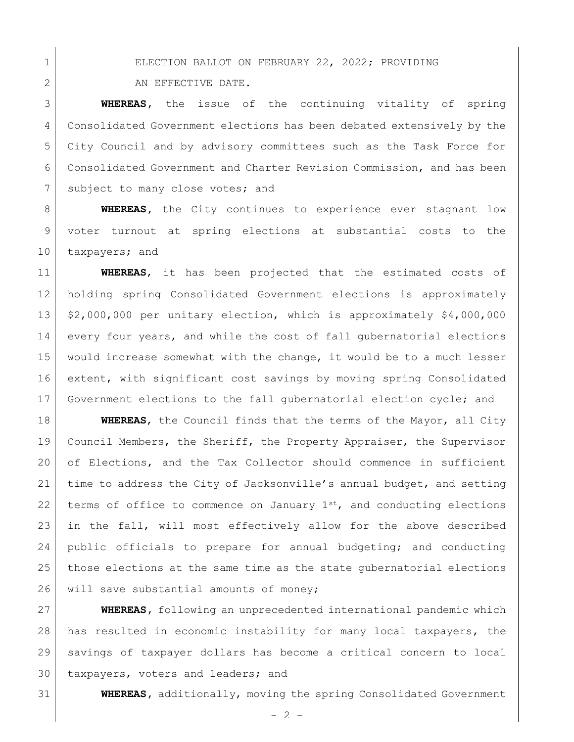1 ELECTION BALLOT ON FEBRUARY 22, 2022; PROVIDING

2 AN EFFECTIVE DATE.

 **WHEREAS,** the issue of the continuing vitality of spring Consolidated Government elections has been debated extensively by the City Council and by advisory committees such as the Task Force for Consolidated Government and Charter Revision Commission, and has been 7 subject to many close votes; and

**WHEREAS,** the City continues to experience ever stagnant low voter turnout at spring elections at substantial costs to the 10 taxpayers; and

 **WHEREAS**, it has been projected that the estimated costs of holding spring Consolidated Government elections is approximately 13 \$2,000,000 per unitary election, which is approximately \$4,000,000 every four years, and while the cost of fall gubernatorial elections would increase somewhat with the change, it would be to a much lesser extent, with significant cost savings by moving spring Consolidated Government elections to the fall gubernatorial election cycle; and

 **WHEREAS**, the Council finds that the terms of the Mayor, all City Council Members, the Sheriff, the Property Appraiser, the Supervisor of Elections, and the Tax Collector should commence in sufficient time to address the City of Jacksonville's annual budget, and setting 22 terms of office to commence on January  $1^{st}$ , and conducting elections in the fall, will most effectively allow for the above described public officials to prepare for annual budgeting; and conducting those elections at the same time as the state gubernatorial elections 26 will save substantial amounts of money;

 **WHEREAS,** following an unprecedented international pandemic which has resulted in economic instability for many local taxpayers, the savings of taxpayer dollars has become a critical concern to local 30 taxpayers, voters and leaders; and

**WHEREAS,** additionally, moving the spring Consolidated Government

 $-2 -$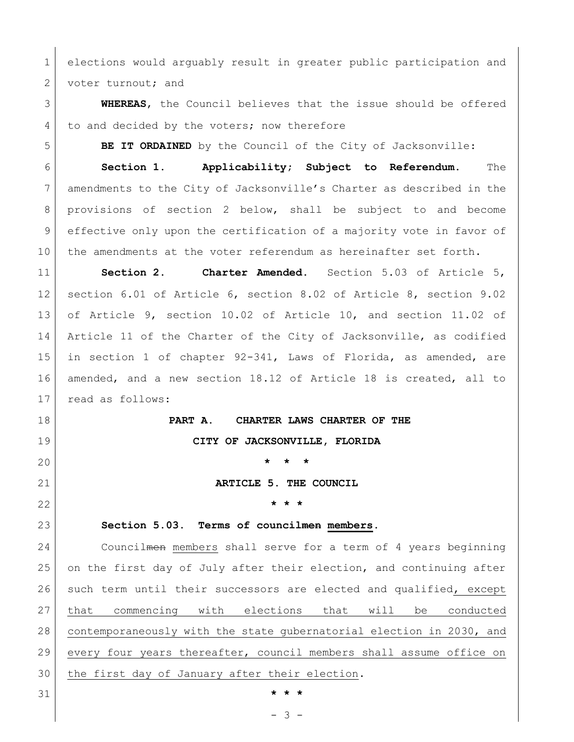elections would arguably result in greater public participation and 2 voter turnout; and

 **WHEREAS**, the Council believes that the issue should be offered 4 to and decided by the voters; now therefore

**BE IT ORDAINED** by the Council of the City of Jacksonville:

 **Section 1. Applicability; Subject to Referendum.** The amendments to the City of Jacksonville's Charter as described in the provisions of section 2 below, shall be subject to and become effective only upon the certification of a majority vote in favor of 10 the amendments at the voter referendum as hereinafter set forth.

 **Section 2. Charter Amended.** Section 5.03 of Article 5, section 6.01 of Article 6, section 8.02 of Article 8, section 9.02 of Article 9, section 10.02 of Article 10, and section 11.02 of Article 11 of the Charter of the City of Jacksonville, as codified in section 1 of chapter 92-341, Laws of Florida, as amended, are amended, and a new section 18.12 of Article 18 is created, all to read as follows:

 **PART A. CHARTER LAWS CHARTER OF THE CITY OF JACKSONVILLE, FLORIDA \* \* \* ARTICLE 5. THE COUNCIL \* \* \***

**Section 5.03. Terms of councilmen members.**

24 Councilmen members shall serve for a term of 4 years beginning on the first day of July after their election, and continuing after 26 such term until their successors are elected and qualified, except that commencing with elections that will be conducted contemporaneously with the state gubernatorial election in 2030, and every four years thereafter, council members shall assume office on the first day of January after their election.

- 3 -

**\* \* \***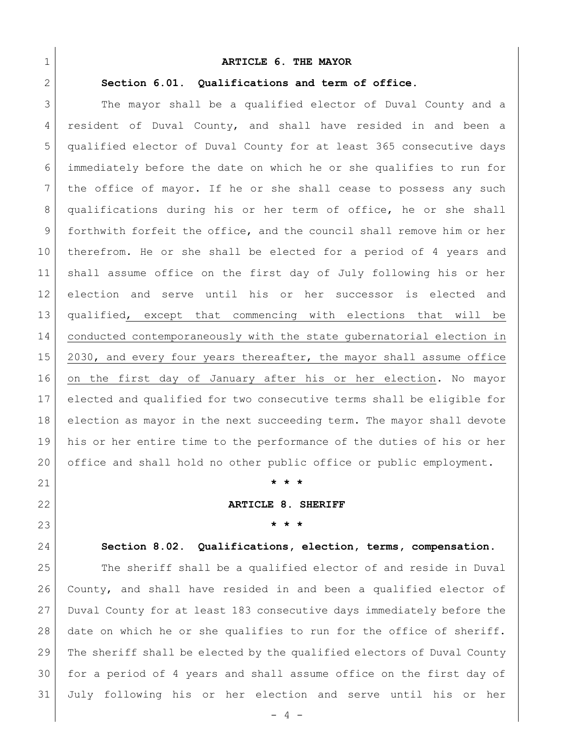# **ARTICLE 6. THE MAYOR**

# **Section 6.01. Qualifications and term of office.**

 The mayor shall be a qualified elector of Duval County and a resident of Duval County, and shall have resided in and been a qualified elector of Duval County for at least 365 consecutive days immediately before the date on which he or she qualifies to run for the office of mayor. If he or she shall cease to possess any such qualifications during his or her term of office, he or she shall forthwith forfeit the office, and the council shall remove him or her therefrom. He or she shall be elected for a period of 4 years and shall assume office on the first day of July following his or her election and serve until his or her successor is elected and qualified, except that commencing with elections that will be conducted contemporaneously with the state gubernatorial election in 2030, and every four years thereafter, the mayor shall assume office on the first day of January after his or her election. No mayor elected and qualified for two consecutive terms shall be eligible for election as mayor in the next succeeding term. The mayor shall devote his or her entire time to the performance of the duties of his or her office and shall hold no other public office or public employment.

# **\* \* \***

# **ARTICLE 8. SHERIFF**

# **\* \* \***

# **Section 8.02. Qualifications, election, terms, compensation**.

 The sheriff shall be a qualified elector of and reside in Duval County, and shall have resided in and been a qualified elector of Duval County for at least 183 consecutive days immediately before the date on which he or she qualifies to run for the office of sheriff. The sheriff shall be elected by the qualified electors of Duval County for a period of 4 years and shall assume office on the first day of July following his or her election and serve until his or her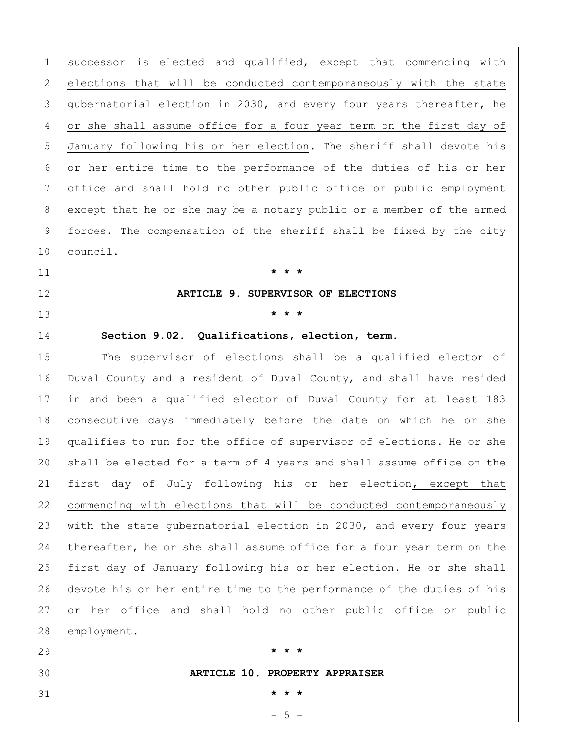successor is elected and qualified, except that commencing with 2 elections that will be conducted contemporaneously with the state 3 gubernatorial election in 2030, and every four years thereafter, he 4 or she shall assume office for a four year term on the first day of January following his or her election. The sheriff shall devote his or her entire time to the performance of the duties of his or her office and shall hold no other public office or public employment except that he or she may be a notary public or a member of the armed forces. The compensation of the sheriff shall be fixed by the city council.

# **\* \* \***

## **ARTICLE 9. SUPERVISOR OF ELECTIONS**

# **\* \* \***

**Section 9.02. Qualifications, election, term.**

15 The supervisor of elections shall be a qualified elector of Duval County and a resident of Duval County, and shall have resided in and been a qualified elector of Duval County for at least 183 consecutive days immediately before the date on which he or she qualifies to run for the office of supervisor of elections. He or she shall be elected for a term of 4 years and shall assume office on the first day of July following his or her election, except that commencing with elections that will be conducted contemporaneously with the state gubernatorial election in 2030, and every four years 24 thereafter, he or she shall assume office for a four year term on the first day of January following his or her election. He or she shall devote his or her entire time to the performance of the duties of his or her office and shall hold no other public office or public employment.

# **\* \* \***

# **ARTICLE 10. PROPERTY APPRAISER**

 $-5 -$ **\* \* \***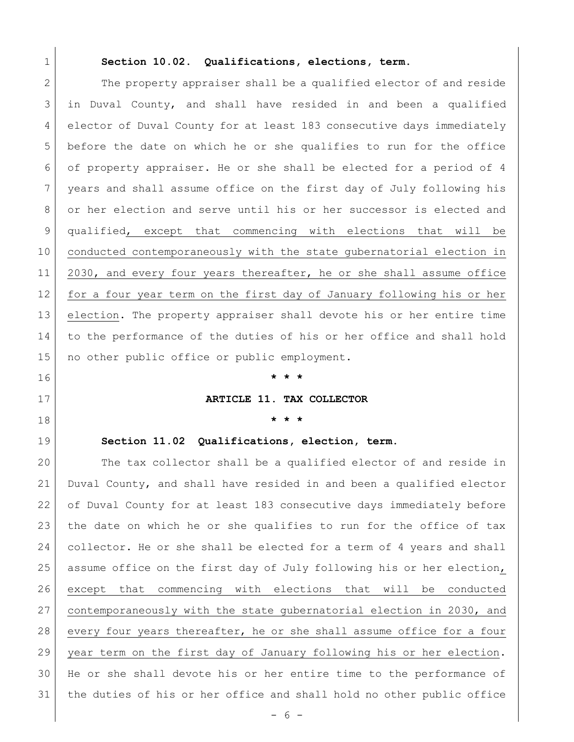### **Section 10.02. Qualifications, elections, term.**

2 The property appraiser shall be a qualified elector of and reside in Duval County, and shall have resided in and been a qualified elector of Duval County for at least 183 consecutive days immediately before the date on which he or she qualifies to run for the office of property appraiser. He or she shall be elected for a period of 4 years and shall assume office on the first day of July following his 8 or her election and serve until his or her successor is elected and qualified, except that commencing with elections that will be conducted contemporaneously with the state gubernatorial election in 11 2030, and every four years thereafter, he or she shall assume office for a four year term on the first day of January following his or her election. The property appraiser shall devote his or her entire time to the performance of the duties of his or her office and shall hold 15 | no other public office or public employment.

# **\* \* \***

### **ARTICLE 11. TAX COLLECTOR**

**\* \* \***

# **Section 11.02 Qualifications, election, term.**

 The tax collector shall be a qualified elector of and reside in Duval County, and shall have resided in and been a qualified elector of Duval County for at least 183 consecutive days immediately before the date on which he or she qualifies to run for the office of tax collector. He or she shall be elected for a term of 4 years and shall assume office on the first day of July following his or her election, except that commencing with elections that will be conducted contemporaneously with the state gubernatorial election in 2030, and every four years thereafter, he or she shall assume office for a four year term on the first day of January following his or her election. He or she shall devote his or her entire time to the performance of the duties of his or her office and shall hold no other public office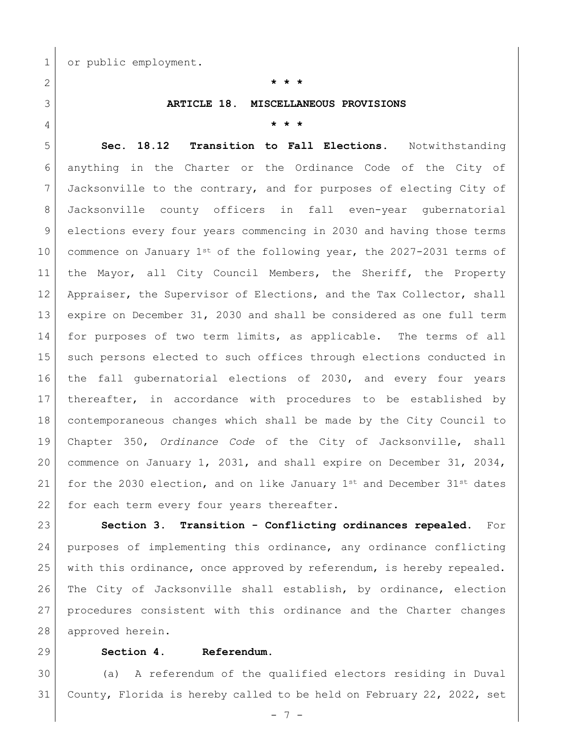1 or public employment.

# **\* \* \***

# **ARTICLE 18. MISCELLANEOUS PROVISIONS**

**\* \* \***

 **Sec. 18.12 Transition to Fall Elections.** Notwithstanding anything in the Charter or the Ordinance Code of the City of Jacksonville to the contrary, and for purposes of electing City of Jacksonville county officers in fall even-year gubernatorial elections every four years commencing in 2030 and having those terms 10 commence on January  $1^{st}$  of the following year, the 2027-2031 terms of the Mayor, all City Council Members, the Sheriff, the Property 12 Appraiser, the Supervisor of Elections, and the Tax Collector, shall expire on December 31, 2030 and shall be considered as one full term for purposes of two term limits, as applicable. The terms of all 15 such persons elected to such offices through elections conducted in the fall gubernatorial elections of 2030, and every four years thereafter, in accordance with procedures to be established by contemporaneous changes which shall be made by the City Council to Chapter 350, *Ordinance Code* of the City of Jacksonville, shall commence on January 1, 2031, and shall expire on December 31, 2034, 21 for the 2030 election, and on like January  $1^{st}$  and December  $31^{st}$  dates 22 for each term every four years thereafter.

 **Section 3. Transition - Conflicting ordinances repealed.** For purposes of implementing this ordinance, any ordinance conflicting with this ordinance, once approved by referendum, is hereby repealed. The City of Jacksonville shall establish, by ordinance, election procedures consistent with this ordinance and the Charter changes 28 approved herein.

# **Section 4. Referendum.**

 (a) A referendum of the qualified electors residing in Duval County, Florida is hereby called to be held on February 22, 2022, set

- 7 -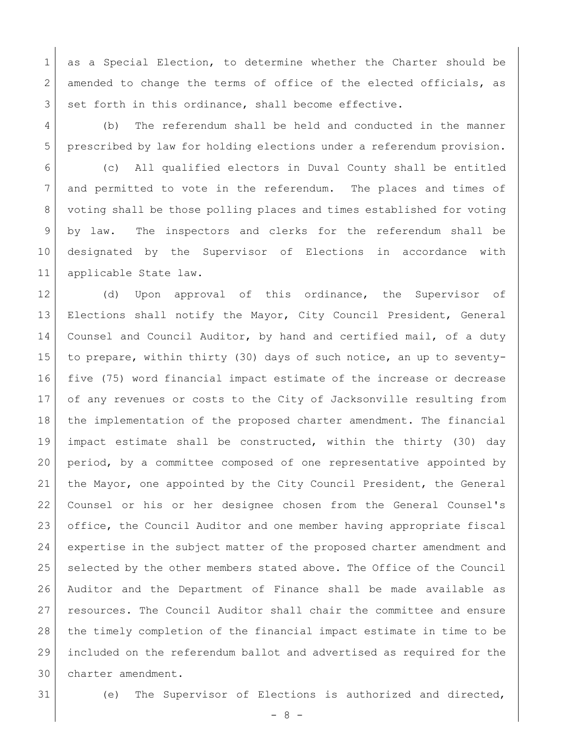1 as a Special Election, to determine whether the Charter should be 2 amended to change the terms of office of the elected officials, as 3 set forth in this ordinance, shall become effective.

 (b) The referendum shall be held and conducted in the manner prescribed by law for holding elections under a referendum provision.

 (c) All qualified electors in Duval County shall be entitled and permitted to vote in the referendum. The places and times of voting shall be those polling places and times established for voting by law. The inspectors and clerks for the referendum shall be designated by the Supervisor of Elections in accordance with applicable State law.

12 (d) Upon approval of this ordinance, the Supervisor of Elections shall notify the Mayor, City Council President, General 14 Counsel and Council Auditor, by hand and certified mail, of a duty to prepare, within thirty (30) days of such notice, an up to seventy- five (75) word financial impact estimate of the increase or decrease of any revenues or costs to the City of Jacksonville resulting from the implementation of the proposed charter amendment. The financial impact estimate shall be constructed, within the thirty (30) day period, by a committee composed of one representative appointed by the Mayor, one appointed by the City Council President, the General Counsel or his or her designee chosen from the General Counsel's office, the Council Auditor and one member having appropriate fiscal expertise in the subject matter of the proposed charter amendment and selected by the other members stated above. The Office of the Council Auditor and the Department of Finance shall be made available as resources. The Council Auditor shall chair the committee and ensure the timely completion of the financial impact estimate in time to be included on the referendum ballot and advertised as required for the charter amendment.

(e) The Supervisor of Elections is authorized and directed,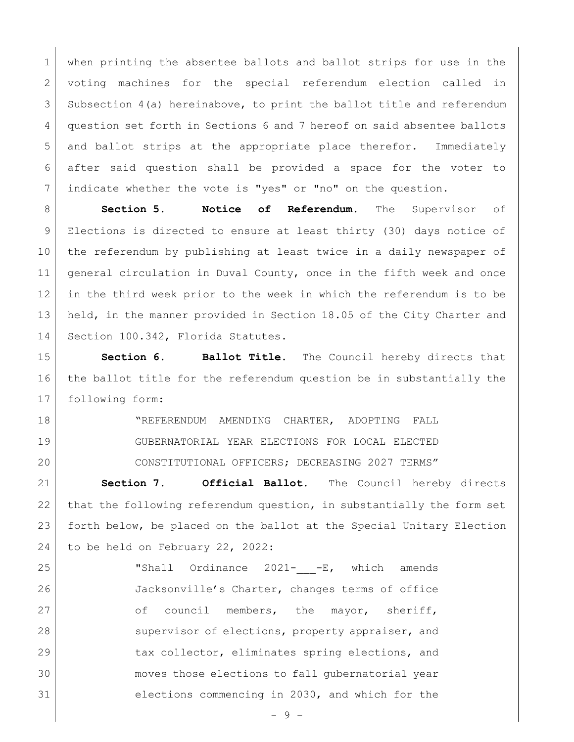when printing the absentee ballots and ballot strips for use in the voting machines for the special referendum election called in Subsection 4(a) hereinabove, to print the ballot title and referendum question set forth in Sections 6 and 7 hereof on said absentee ballots and ballot strips at the appropriate place therefor. Immediately after said question shall be provided a space for the voter to indicate whether the vote is "yes" or "no" on the question.

**Section 5. Notice of Referendum.** The Supervisor of Elections is directed to ensure at least thirty (30) days notice of the referendum by publishing at least twice in a daily newspaper of general circulation in Duval County, once in the fifth week and once in the third week prior to the week in which the referendum is to be held, in the manner provided in Section 18.05 of the City Charter and 14 Section 100.342, Florida Statutes.

 **Section 6. Ballot Title.** The Council hereby directs that the ballot title for the referendum question be in substantially the following form:

 "REFERENDUM AMENDING CHARTER, ADOPTING FALL GUBERNATORIAL YEAR ELECTIONS FOR LOCAL ELECTED CONSTITUTIONAL OFFICERS; DECREASING 2027 TERMS"

 **Section 7. Official Ballot.** The Council hereby directs 22 that the following referendum question, in substantially the form set forth below, be placed on the ballot at the Special Unitary Election 24 to be held on February 22, 2022:

25 | Thall Ordinance 2021- -E, which amends Jacksonville's Charter, changes terms of office 27 of council members, the mayor, sheriff, 28 supervisor of elections, property appraiser, and 29 tax collector, eliminates spring elections, and moves those elections to fall gubernatorial year elections commencing in 2030, and which for the

- 9 -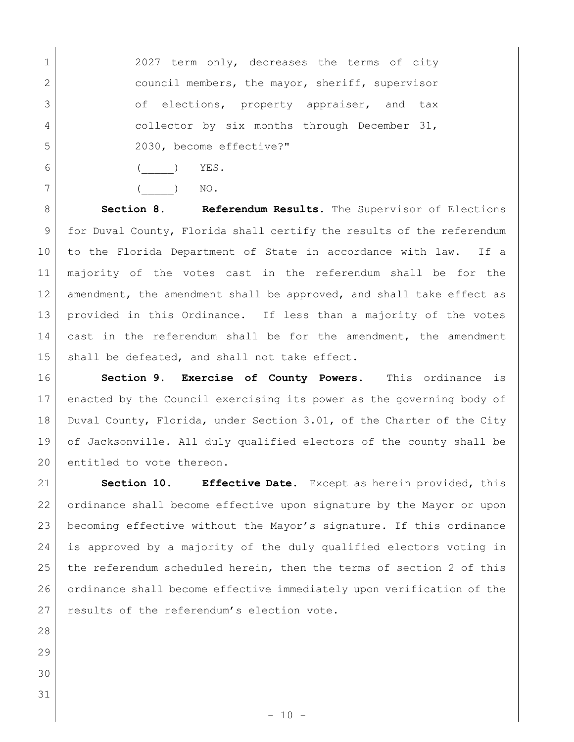1 2027 term only, decreases the terms of city 2 council members, the mayor, sheriff, supervisor 3 of elections, property appraiser, and tax collector by six months through December 31, 2030, become effective?"

6 | ( ) YES.

7 ( ) NO.

**Section 8. Referendum Results.** The Supervisor of Elections for Duval County, Florida shall certify the results of the referendum to the Florida Department of State in accordance with law. If a majority of the votes cast in the referendum shall be for the amendment, the amendment shall be approved, and shall take effect as provided in this Ordinance. If less than a majority of the votes 14 cast in the referendum shall be for the amendment, the amendment 15 shall be defeated, and shall not take effect.

 **Section 9. Exercise of County Powers.** This ordinance is enacted by the Council exercising its power as the governing body of 18 Duval County, Florida, under Section 3.01, of the Charter of the City of Jacksonville. All duly qualified electors of the county shall be 20 entitled to vote thereon.

 **Section 10. Effective Date.** Except as herein provided, this ordinance shall become effective upon signature by the Mayor or upon becoming effective without the Mayor's signature. If this ordinance is approved by a majority of the duly qualified electors voting in the referendum scheduled herein, then the terms of section 2 of this ordinance shall become effective immediately upon verification of the 27 results of the referendum's election vote.

- 
- 
-